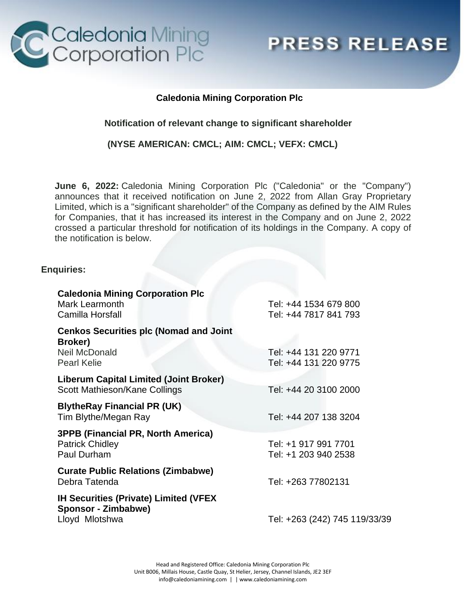

**PRESS RELEASE** 

## **Caledonia Mining Corporation Plc**

## **Notification of relevant change to significant shareholder**

### **(NYSE AMERICAN: CMCL; AIM: CMCL; VEFX: CMCL)**

**June 6, 2022:** Caledonia Mining Corporation Plc ("Caledonia" or the "Company") announces that it received notification on June 2, 2022 from Allan Gray Proprietary Limited, which is a "significant shareholder" of the Company as defined by the AIM Rules for Companies, that it has increased its interest in the Company and on June 2, 2022 crossed a particular threshold for notification of its holdings in the Company. A copy of the notification is below.

### **Enquiries:**

| <b>Caledonia Mining Corporation Plc</b>                                            |                                                |
|------------------------------------------------------------------------------------|------------------------------------------------|
| <b>Mark Learmonth</b><br>Camilla Horsfall                                          | Tel: +44 1534 679 800<br>Tel: +44 7817 841 793 |
| <b>Cenkos Securities plc (Nomad and Joint</b><br>Broker)                           |                                                |
| <b>Neil McDonald</b><br><b>Pearl Kelie</b>                                         | Tel: +44 131 220 9771<br>Tel: +44 131 220 9775 |
| <b>Liberum Capital Limited (Joint Broker)</b><br>Scott Mathieson/Kane Collings     | Tel: +44 20 3100 2000                          |
| <b>BlytheRay Financial PR (UK)</b><br>Tim Blythe/Megan Ray                         | Tel: +44 207 138 3204                          |
| <b>3PPB (Financial PR, North America)</b><br><b>Patrick Chidley</b><br>Paul Durham | Tel: +1 917 991 7701<br>Tel: +1 203 940 2538   |
| <b>Curate Public Relations (Zimbabwe)</b><br>Debra Tatenda                         | Tel: +263 77802131                             |
| <b>IH Securities (Private) Limited (VFEX</b><br>Sponsor - Zimbabwe)                |                                                |
| Lloyd Mlotshwa                                                                     | Tel: +263 (242) 745 119/33/39                  |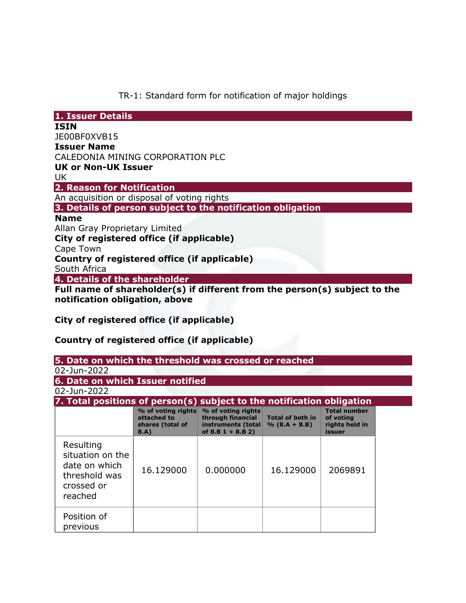TR-1: Standard form for notification of major holdings

| 1. Issuer Details                                                                                            |
|--------------------------------------------------------------------------------------------------------------|
| <b>ISIN</b>                                                                                                  |
| JE00BF0XVB15                                                                                                 |
| <b>Issuer Name</b>                                                                                           |
| CALEDONIA MINING CORPORATION PLC                                                                             |
| <b>UK or Non-UK Issuer</b>                                                                                   |
| UK.                                                                                                          |
| 2. Reason for Notification                                                                                   |
| An acquisition or disposal of voting rights                                                                  |
| 3. Details of person subject to the notification obligation                                                  |
| <b>Name</b>                                                                                                  |
| Allan Gray Proprietary Limited                                                                               |
| City of registered office (if applicable)                                                                    |
| Cape Town                                                                                                    |
| Country of registered office (if applicable)                                                                 |
| South Africa                                                                                                 |
| 4. Details of the shareholder                                                                                |
| Full name of shareholder(s) if different from the person(s) subject to the<br>notification obligation, above |

**City of registered office (if applicable)**

# **Country of registered office (if applicable)**

| 5. Date on which the threshold was crossed or reached |
|-------------------------------------------------------|
|-------------------------------------------------------|

| 02-Jun-2022 |  |
|-------------|--|
|             |  |

**6. Date on which Issuer notified**

02-Jun-2022

| 7. Total positions of person(s) subject to the notification obligation                   |                                                               |                                                                                      |                                            |                                                              |
|------------------------------------------------------------------------------------------|---------------------------------------------------------------|--------------------------------------------------------------------------------------|--------------------------------------------|--------------------------------------------------------------|
|                                                                                          | % of voting rights<br>attached to<br>shares (total of<br>8.A) | % of voting rights<br>through financial<br>instruments (total<br>of $8.B 1 + 8.B 2)$ | <b>Total of both in</b><br>$% (8.A + 8.B)$ | <b>Total number</b><br>of voting<br>rights held in<br>issuer |
| Resulting<br>situation on the<br>date on which<br>threshold was<br>crossed or<br>reached | 16.129000                                                     | 0.000000                                                                             | 16.129000                                  | 2069891                                                      |
| Position of<br>previous                                                                  |                                                               |                                                                                      |                                            |                                                              |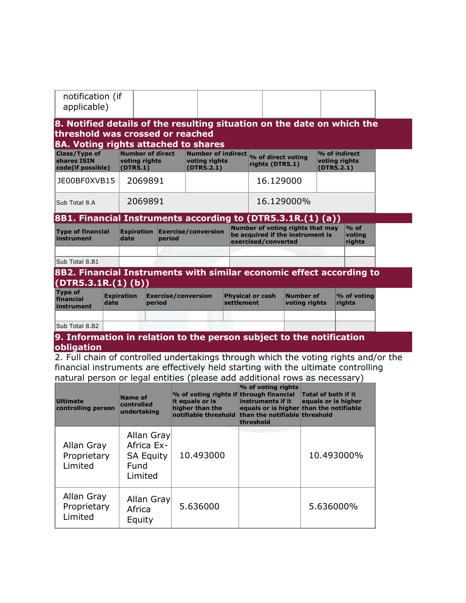| notification (if |  |  |
|------------------|--|--|
| applicable)      |  |  |

#### **8. Notified details of the resulting situation on the date on which the threshold was crossed or reached 8A. Voting rights attached to shares**

| <b>Class/Type of</b><br>shares ISIN<br>code(if possible) | Number of direct<br>voting rights<br>(DTR5.1) | voting rights<br>(DTR5.2.1) | Number of indirect <sub>%</sub> of direct voting<br>rights (DTR5.1) | $\%$ of indirect<br>voting rights<br>(DTR5.2.1) |
|----------------------------------------------------------|-----------------------------------------------|-----------------------------|---------------------------------------------------------------------|-------------------------------------------------|
| JE00BF0XVB15                                             | 2069891                                       |                             | 16.129000                                                           |                                                 |
| Sub Total 8.A                                            | 2069891                                       |                             | 16.129000%                                                          |                                                 |

## **8B1. Financial Instruments according to (DTR5.3.1R.(1) (a))**

| <b>Type of financial</b><br>instrument | date | Expiration Exercise/conversion<br>period | Number of voting rights that may<br>be acquired if the instrument is<br>exercised/converted | $%$ of<br>voting<br>rights |
|----------------------------------------|------|------------------------------------------|---------------------------------------------------------------------------------------------|----------------------------|
|                                        |      |                                          |                                                                                             |                            |
| Sub Total 8.B1                         |      |                                          |                                                                                             |                            |

### **8B2. Financial Instruments with similar economic effect according to (DTR5.3.1R.(1) (b))**

| <b>Type of</b><br>financial<br>instrument | <b>Expiration</b><br>date | $\mathsf{\mathsf{Exercise}/}\mathsf{conversion}$<br>period | <b>Physical or cash</b><br>settlement | Number of<br>voting rights | $\sim$ of voting<br><b>rights</b> |
|-------------------------------------------|---------------------------|------------------------------------------------------------|---------------------------------------|----------------------------|-----------------------------------|
| Sub Total 8.B2                            |                           |                                                            |                                       |                            |                                   |

### **9. Information in relation to the person subject to the notification obligation**

2. Full chain of controlled undertakings through which the voting rights and/or the financial instruments are effectively held starting with the ultimate controlling natural person or legal entities (please add additional rows as necessary)

| <b>Ultimate</b><br>controlling person | Name of<br>controlled<br>undertaking                            | % of voting rights if through financial<br>it equals or is<br>higher than the<br>notifiable threshold | % of voting rights<br>instruments if it<br>equals or is higher than the notifiable<br>than the notifiable threshold<br>threshold | <b>Total of both if it</b><br>equals or is higher |
|---------------------------------------|-----------------------------------------------------------------|-------------------------------------------------------------------------------------------------------|----------------------------------------------------------------------------------------------------------------------------------|---------------------------------------------------|
| Allan Gray<br>Proprietary<br>Limited  | Allan Gray<br>Africa Ex-<br><b>SA Equity</b><br>Fund<br>Limited | 10.493000                                                                                             |                                                                                                                                  | 10.493000%                                        |
| Allan Gray<br>Proprietary<br>Limited  | Allan Gray<br>Africa<br>Equity                                  | 5.636000                                                                                              |                                                                                                                                  | 5.636000%                                         |